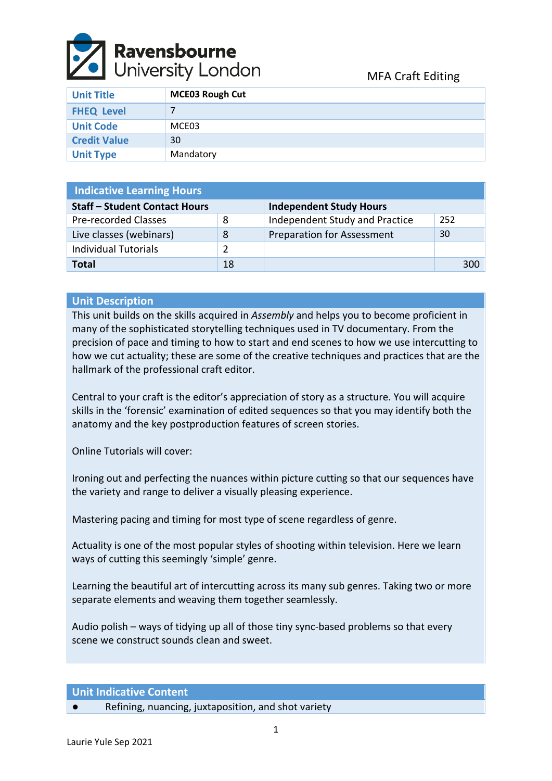

| <b>Unit Title</b>   | <b>MCE03 Rough Cut</b> |
|---------------------|------------------------|
| <b>FHEQ Level</b>   |                        |
| <b>Unit Code</b>    | MCE03                  |
| <b>Credit Value</b> | 30                     |
| <b>Unit Type</b>    | Mandatory              |

| <b>Indicative Learning Hours</b>     |    |                                   |     |  |  |
|--------------------------------------|----|-----------------------------------|-----|--|--|
| <b>Staff - Student Contact Hours</b> |    | <b>Independent Study Hours</b>    |     |  |  |
| <b>Pre-recorded Classes</b>          | 8  | Independent Study and Practice    | 252 |  |  |
| Live classes (webinars)              | 8  | <b>Preparation for Assessment</b> | 30  |  |  |
| <b>Individual Tutorials</b>          | C. |                                   |     |  |  |
| Total                                | 18 |                                   | 300 |  |  |

# **Unit Description**

This unit builds on the skills acquired in *Assembly* and helps you to become proficient in many of the sophisticated storytelling techniques used in TV documentary. From the precision of pace and timing to how to start and end scenes to how we use intercutting to how we cut actuality; these are some of the creative techniques and practices that are the hallmark of the professional craft editor.

Central to your craft is the editor's appreciation of story as a structure. You will acquire skills in the 'forensic' examination of edited sequences so that you may identify both the anatomy and the key postproduction features of screen stories.

Online Tutorials will cover:

Ironing out and perfecting the nuances within picture cutting so that our sequences have the variety and range to deliver a visually pleasing experience.

Mastering pacing and timing for most type of scene regardless of genre.

Actuality is one of the most popular styles of shooting within television. Here we learn ways of cutting this seemingly 'simple' genre.

Learning the beautiful art of intercutting across its many sub genres. Taking two or more separate elements and weaving them together seamlessly.

Audio polish – ways of tidying up all of those tiny sync-based problems so that every scene we construct sounds clean and sweet.

### **Unit Indicative Content**

Refining, nuancing, juxtaposition, and shot variety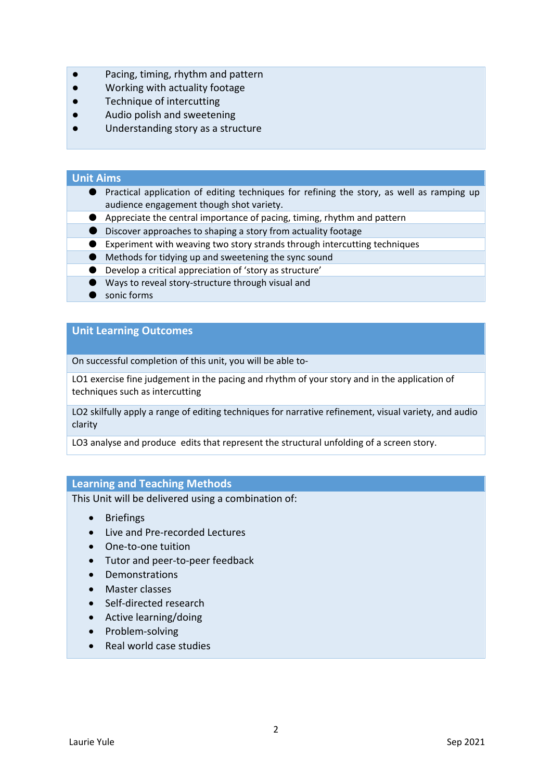- Pacing, timing, rhythm and pattern
- Working with actuality footage
- Technique of intercutting
- Audio polish and sweetening
- Understanding story as a structure

#### **Unit Aims**

- Practical application of editing techniques for refining the story, as well as ramping up audience engagement though shot variety.
- Appreciate the central importance of pacing, timing, rhythm and pattern
- Discover approaches to shaping a story from actuality footage
- Experiment with weaving two story strands through intercutting techniques
- Methods for tidying up and sweetening the sync sound
- Develop a critical appreciation of 'story as structure'
- Ways to reveal story-structure through visual and
- sonic forms

### **Unit Learning Outcomes**

On successful completion of this unit, you will be able to-

LO1 exercise fine judgement in the pacing and rhythm of your story and in the application of techniques such as intercutting

LO2 skilfully apply a range of editing techniques for narrative refinement, visual variety, and audio clarity

LO3 analyse and produce edits that represent the structural unfolding of a screen story.

### **Learning and Teaching Methods**

This Unit will be delivered using a combination of:

- Briefings
- Live and Pre-recorded Lectures
- One-to-one tuition
- Tutor and peer-to-peer feedback
- Demonstrations
- Master classes
- Self-directed research
- Active learning/doing
- Problem-solving
- Real world case studies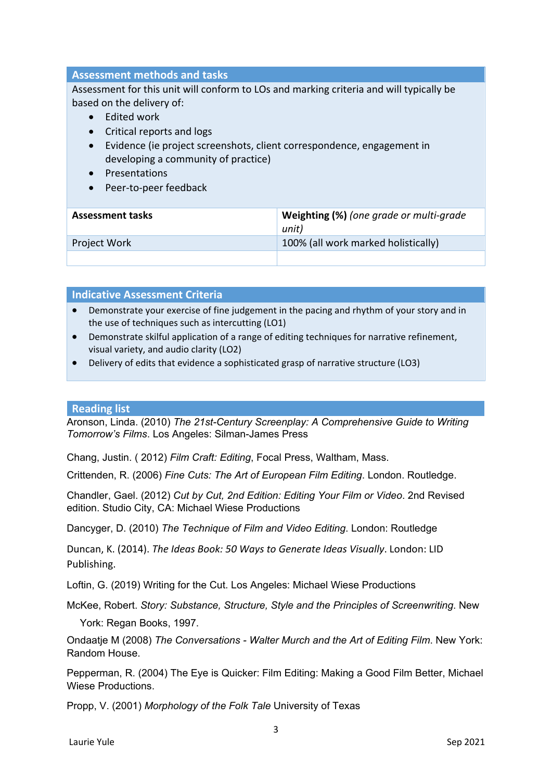# **Assessment methods and tasks**

Assessment for this unit will conform to LOs and marking criteria and will typically be based on the delivery of:

- Edited work
- Critical reports and logs
- Evidence (ie project screenshots, client correspondence, engagement in developing a community of practice)
- Presentations
- Peer-to-peer feedback

| <b>Assessment tasks</b> | Weighting (%) (one grade or multi-grade |
|-------------------------|-----------------------------------------|
|                         | unit)                                   |
| Project Work            | 100% (all work marked holistically)     |
|                         |                                         |

# **Indicative Assessment Criteria**

- Demonstrate your exercise of fine judgement in the pacing and rhythm of your story and in the use of techniques such as intercutting (LO1)
- Demonstrate skilful application of a range of editing techniques for narrative refinement, visual variety, and audio clarity (LO2)
- Delivery of edits that evidence a sophisticated grasp of narrative structure (LO3)

### **Reading list**

Aronson, Linda. (2010) *The 21st-Century Screenplay: A Comprehensive Guide to Writing Tomorrow's Films*. Los Angeles: Silman-James Press

Chang, Justin. ( 2012) *Film Craft: Editing*, Focal Press, Waltham, Mass.

Crittenden, R. (2006) *Fine Cuts: The Art of European Film Editing*. London. Routledge.

Chandler, Gael. (2012) *Cut by Cut, 2nd Edition: Editing Your Film or Video*. 2nd Revised edition. Studio City, CA: Michael Wiese Productions

Dancyger, D. (2010) *The Technique of Film and Video Editing*. London: Routledge

Duncan, K. (2014). *The Ideas Book: 50 Ways to Generate Ideas Visually*. London: LID Publishing.

Loftin, G. (2019) Writing for the Cut. Los Angeles: Michael Wiese Productions

McKee, Robert. *Story: Substance, Structure, Style and the Principles of Screenwriting*. New York: Regan Books, 1997.

Ondaatje M (2008) *The Conversations - Walter Murch and the Art of Editing Film*. New York: Random House.

Pepperman, R. (2004) The Eye is Quicker: Film Editing: Making a Good Film Better, Michael Wiese Productions.

Propp, V. (2001) *Morphology of the Folk Tale* University of Texas